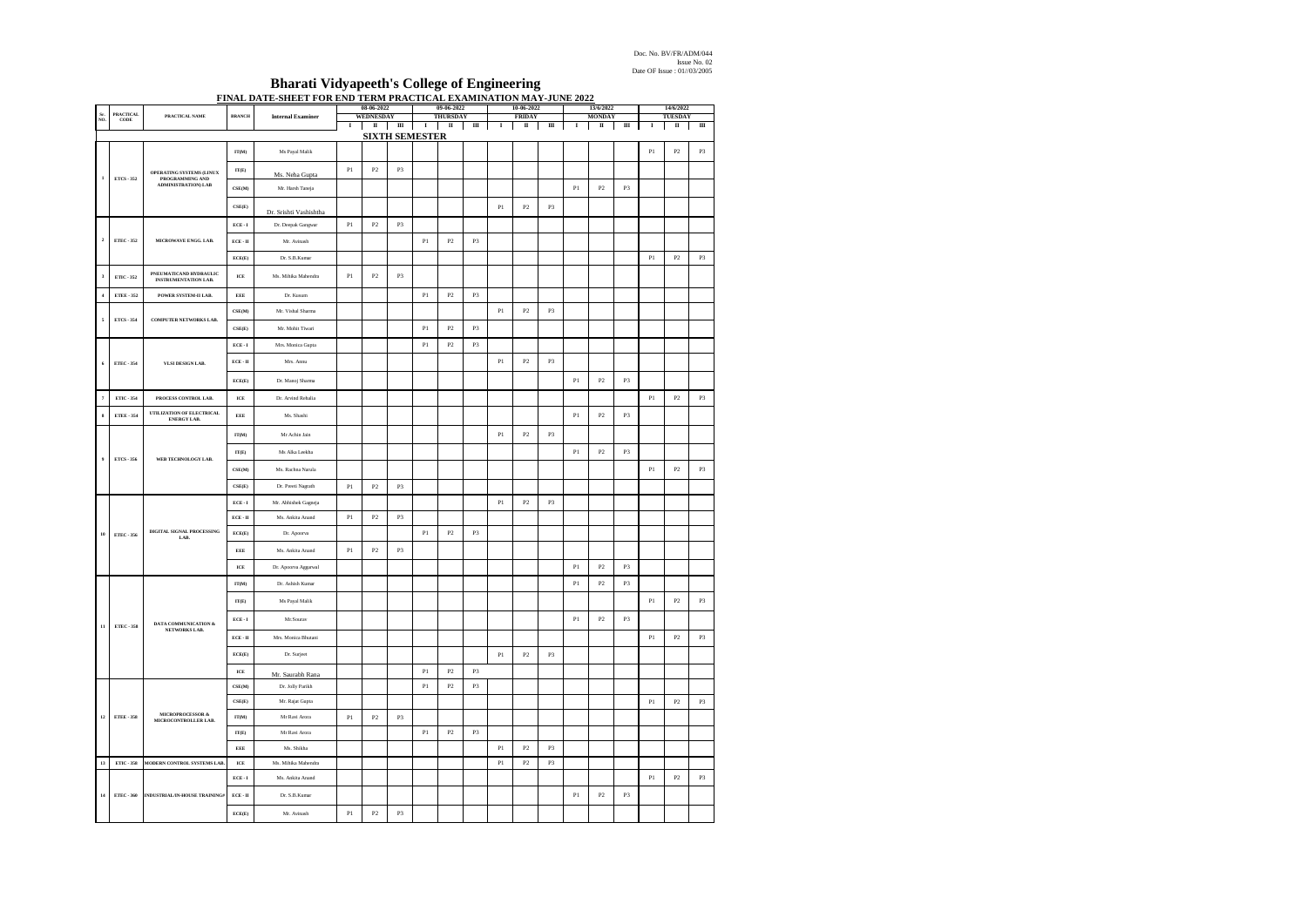Doc. No. BV/FR/ADM/044 Issue No. 02 **Date OF Issue** : 01//03/2005

## **Bharati Vidyapeeth's College of Engineering FINAL DATE-SHEET FOR END TERM PRACTICAL EXAMINATION MAY-JUNE 2022**

|                | <b>PRACTICAL</b>         |                                                       |                                                                                                                                                                                                                                                                                                                                                                                                                                                                                                                             |                          |               | 08-06-2022     |                | 09-06-2022           |               |                | 10-06-2022                                 |               |               | 13/6/2022      |               |                | 14/6/2022                                |               |                |
|----------------|--------------------------|-------------------------------------------------------|-----------------------------------------------------------------------------------------------------------------------------------------------------------------------------------------------------------------------------------------------------------------------------------------------------------------------------------------------------------------------------------------------------------------------------------------------------------------------------------------------------------------------------|--------------------------|---------------|----------------|----------------|----------------------|---------------|----------------|--------------------------------------------|---------------|---------------|----------------|---------------|----------------|------------------------------------------|---------------|----------------|
| ŃÓ             | CODE                     | PRACTICAL NAME                                        | <b>BRANCH</b>                                                                                                                                                                                                                                                                                                                                                                                                                                                                                                               | <b>Internal Examiner</b> | WEDNESDAY     |                |                | THURSDAY<br>$\rm II$ |               |                | <b>FRIDAY</b><br>$\scriptstyle\rm II$<br>Ш |               |               |                | <b>MONDAY</b> |                | TUESDAY<br>Ш<br>$\rm II$<br>Ш<br>$\bf I$ |               |                |
|                |                          |                                                       | $\bf I$<br>$\rm _H$<br>$\mathbf{m}$<br>$\mathbf{m}$<br>$\scriptstyle\rm II$<br>$\;$ I<br>$\mathbf{I}$<br>$\;$ I<br>$\;$ I<br>$\mathbf{\mathbf{\mathsf{I}}}\mathbf{\mathsf{I}}$<br><u>SIXTH SEMESTER</u><br>$\mathbf{P}2$<br>$_{\rm P3}$<br>$\Gamma\Gamma(M)$<br>Ms Payal Malik<br>Pl<br>P1<br>P2<br>P <sub>3</sub><br>IT(E)<br>Ms. Neha Gupta<br>$\mathbf{CSE}(\mathbf{M})$<br>Mr. Harsh Taneja<br>$\mathbb{P} \mathbb{I}$<br>$\mathbb{P}2$<br>P3<br>CSE(E)<br>$_{\rm Pl}$<br>$\mathbf{P}2$<br>P3<br>Dr. Srishti Vashishtha |                          |               |                |                |                      |               |                |                                            |               |               |                |               |                |                                          |               |                |
|                |                          |                                                       |                                                                                                                                                                                                                                                                                                                                                                                                                                                                                                                             |                          |               |                |                |                      |               |                |                                            |               |               |                |               |                |                                          |               |                |
|                | OPERATING SYSTEMS (LINUX |                                                       |                                                                                                                                                                                                                                                                                                                                                                                                                                                                                                                             |                          |               |                |                |                      |               |                |                                            |               |               |                |               |                |                                          |               |                |
|                | ETCS - 352               | PROGRAMMING AND<br><b>ADMINISTRATION) LAB</b>         |                                                                                                                                                                                                                                                                                                                                                                                                                                                                                                                             |                          |               |                |                |                      |               |                |                                            |               |               |                |               |                |                                          |               |                |
|                |                          |                                                       |                                                                                                                                                                                                                                                                                                                                                                                                                                                                                                                             |                          |               |                |                |                      |               |                |                                            |               |               |                |               |                |                                          |               |                |
|                |                          |                                                       | $\text{ECE}\cdot \text{I}$                                                                                                                                                                                                                                                                                                                                                                                                                                                                                                  | Dr. Deepak Gangwar       | $\mathbf{P}1$ | $\mathbf{P}2$  | P3             |                      |               |                |                                            |               |               |                |               |                |                                          |               |                |
|                | ETEC - 352               | MICROWAVE ENGG, LAB.                                  | $ECE \cdot H$                                                                                                                                                                                                                                                                                                                                                                                                                                                                                                               | Mr. Avinash              |               |                |                | $\mathbf{P}1$        | $\mathbf{P}2$ | P3             |                                            |               |               |                |               |                |                                          |               |                |
|                |                          |                                                       | ECE(E)                                                                                                                                                                                                                                                                                                                                                                                                                                                                                                                      | Dr. S.B.Kuma             |               |                |                |                      |               |                |                                            |               |               |                |               |                | $\mathbf{P}$ l                           | $\mathbf{P}2$ | P3             |
|                | ETIC - 352               | PNEUMATICAND HYDRAULIC<br><b>INSTRUMENTATION LAB.</b> | ICE                                                                                                                                                                                                                                                                                                                                                                                                                                                                                                                         | Ms. Mihika Mahendra      | P1            | P <sub>2</sub> | P3             |                      |               |                |                                            |               |               |                |               |                |                                          |               |                |
| $\overline{4}$ | ETEE - 352               | POWER SYSTEM-II LAB.                                  | EEE                                                                                                                                                                                                                                                                                                                                                                                                                                                                                                                         | Dr. Kusum                |               |                |                | $\mathbf{P}$         | $\mathbf{P}2$ | P3             |                                            |               |               |                |               |                |                                          |               |                |
|                |                          |                                                       | $\mathbf{CSE}(\mathbf{M})$                                                                                                                                                                                                                                                                                                                                                                                                                                                                                                  | Mr. Vishal Sharma        |               |                |                |                      |               |                | P1                                         | $\mathbf{P}2$ | P3            |                |               |                |                                          |               |                |
|                | <b>ETCS - 354</b>        | <b>COMPUTER NETWORKS LAB.</b>                         | $\mathrm{CSE}(\mathbb{E})$                                                                                                                                                                                                                                                                                                                                                                                                                                                                                                  | Mr. Mohit Tiwari         |               |                |                | $\mathbf{P}$ l       | $\mathbf{P}2$ | P3             |                                            |               |               |                |               |                |                                          |               |                |
|                |                          |                                                       | $ECE \cdot I$                                                                                                                                                                                                                                                                                                                                                                                                                                                                                                               | Mrs. Monica Gupta        |               |                |                | $\mathbf{P}$ l       | $\mathbf{P}2$ | $_{\rm P3}$    |                                            |               |               |                |               |                |                                          |               |                |
|                | ETEC - 354               | VLSI DESIGN LAB.                                      | $\text{ECE}\cdot \text{II}$                                                                                                                                                                                                                                                                                                                                                                                                                                                                                                 | Mrs. Annu                |               |                |                |                      |               |                | P1                                         | $_{\rm P2}$   | $_{\rm P3}$   |                |               |                |                                          |               |                |
|                |                          |                                                       | ECE(E)                                                                                                                                                                                                                                                                                                                                                                                                                                                                                                                      | Dr. Manoj Sharma         |               |                |                |                      |               |                |                                            |               |               | P <sub>1</sub> | $\mathbf{P}2$ | P3             |                                          |               |                |
|                | ETIC - 354               | PROCESS CONTROL LAB.                                  | $\ensuremath{\textit{ICE}}$                                                                                                                                                                                                                                                                                                                                                                                                                                                                                                 | Dr. Arvind Rehalia       |               |                |                |                      |               |                |                                            |               |               |                |               |                | $\mathbf{P}$ l                           | $\mathbf{P}2$ | P3             |
|                | ETEE - 354               | UTILIZATION OF ELECTRICAL<br><b>ENERGY LAB.</b>       | EEE                                                                                                                                                                                                                                                                                                                                                                                                                                                                                                                         | Ms. Shashi               |               |                |                |                      |               |                |                                            |               |               | $\mathbf{P}1$  | $\mathbb{P}2$ | P3             |                                          |               |                |
|                |                          |                                                       | $\Gamma\Gamma(\mathbf{M})$                                                                                                                                                                                                                                                                                                                                                                                                                                                                                                  | Mr Achin Jain            |               |                |                |                      |               |                | $\mathbb{P} \mathbb{I}$                    | P2            | P3            |                |               |                |                                          |               |                |
|                | ETCS - 356               | WEB TECHNOLOGY LAB.                                   | IT(E)                                                                                                                                                                                                                                                                                                                                                                                                                                                                                                                       | Ms Alka Leekha           |               |                |                |                      |               |                |                                            |               |               | P1             | $\mathbb{P}2$ | P3             |                                          |               |                |
|                |                          |                                                       | CSE(M)                                                                                                                                                                                                                                                                                                                                                                                                                                                                                                                      | Ms. Rachna Narula        |               |                |                |                      |               |                |                                            |               |               |                |               |                | $\mathbf{P}1$                            | $\mathbf{P}2$ | P3             |
|                |                          |                                                       | CSE(E)                                                                                                                                                                                                                                                                                                                                                                                                                                                                                                                      | Dr. Preeti Nagrath       | P1            | P2             | P <sub>3</sub> |                      |               |                |                                            |               |               |                |               |                |                                          |               |                |
|                |                          |                                                       | $ECE \cdot I$                                                                                                                                                                                                                                                                                                                                                                                                                                                                                                               | Mr. Abhishek Gagneja     |               |                |                |                      |               |                | $\mathbb{P} \mathbb{I}$                    | P2            | $\mathbf{P3}$ |                |               |                |                                          |               |                |
|                |                          |                                                       | $ECE - H$                                                                                                                                                                                                                                                                                                                                                                                                                                                                                                                   | Ms. Ankita Anand         | P1            | P2             | P <sub>3</sub> |                      |               |                |                                            |               |               |                |               |                |                                          |               |                |
| 10             | <b>ETEC - 356</b>        | DIGITAL SIGNAL PROCESSING<br>LAB.                     | $\mathrm{ECE}(\mathcal{E})$                                                                                                                                                                                                                                                                                                                                                                                                                                                                                                 | Dr. Apoorva              |               |                |                | $\mathbf{P}$         | $\mathbf{P}2$ | P3             |                                            |               |               |                |               |                |                                          |               |                |
|                |                          |                                                       | EEE                                                                                                                                                                                                                                                                                                                                                                                                                                                                                                                         | Ms. Ankita Anand         | $\mathbf{P}1$ | $\mathbf{P}2$  | P3             |                      |               |                |                                            |               |               |                |               |                |                                          |               |                |
|                |                          |                                                       | $\rm ICE$                                                                                                                                                                                                                                                                                                                                                                                                                                                                                                                   | Dr. Apoorva Aggarwal     |               |                |                |                      |               |                |                                            |               |               | $\mathbf{P}1$  | $\mathbb{P}2$ | P3             |                                          |               |                |
|                |                          |                                                       | $\mathbf{IT}(\mathbf{M})$                                                                                                                                                                                                                                                                                                                                                                                                                                                                                                   | Dr. Ashish Kumar         |               |                |                |                      |               |                |                                            |               |               | P1             | P2            | P3             |                                          |               |                |
|                |                          |                                                       | $\mathbf{IT}(\mathbf{E})$                                                                                                                                                                                                                                                                                                                                                                                                                                                                                                   | Ms Payal Malik           |               |                |                |                      |               |                |                                            |               |               |                |               |                | $\mathbf{P}1$                            | $\mathbf{P}2$ | P3             |
| 11             | <b>ETEC-358</b>          | DATA COMMUNICATION &                                  | $\text{ECE}\cdot \text{I}$                                                                                                                                                                                                                                                                                                                                                                                                                                                                                                  | Mr.Sourav                |               |                |                |                      |               |                |                                            |               |               | $\mathbf{P}1$  | $\mathbb{P}2$ | P3             |                                          |               |                |
|                |                          | NETWORKS LAB.                                         | $\text{ECE}\cdot \Pi$                                                                                                                                                                                                                                                                                                                                                                                                                                                                                                       | Mrs. Monica Bhutani      |               |                |                |                      |               |                |                                            |               |               |                |               |                | P1                                       | ${\bf P}2$    | P <sub>3</sub> |
|                |                          |                                                       | ECE(E)                                                                                                                                                                                                                                                                                                                                                                                                                                                                                                                      | Dr. Suriect              |               |                |                |                      |               |                | $\mathbf{P}1$                              | $\mathbf{P}2$ | $\mathbf{P3}$ |                |               |                |                                          |               |                |
|                |                          |                                                       | $\rm ICE$                                                                                                                                                                                                                                                                                                                                                                                                                                                                                                                   | Mr. Saurabh Rana         |               |                |                | P1                   | $\mathbf{P}2$ | P3             |                                            |               |               |                |               |                |                                          |               |                |
| $12$           |                          | MICROPROCESSOR &<br>MICROCONTROLLER LAB.              | $\mathbf{CSE}(\mathbf{M})$                                                                                                                                                                                                                                                                                                                                                                                                                                                                                                  | Dr. Jolly Parikh         |               |                |                | P1                   | P2            | P <sub>3</sub> |                                            |               |               |                |               |                |                                          |               |                |
|                |                          |                                                       | $\mathbf{CSE}(\mathbf{E})$                                                                                                                                                                                                                                                                                                                                                                                                                                                                                                  | Mr. Rajat Gupta          |               |                |                |                      |               |                |                                            |               |               |                |               |                | $\mathbf{P}1$                            | $\mathbf{P}2$ | P3             |
|                | ETEE - 358               |                                                       | $\Gamma\Gamma(\mathbf{M})$                                                                                                                                                                                                                                                                                                                                                                                                                                                                                                  | Mr Ravi Arora            | $\mathbf{P}1$ | $\mathbf{P}2$  | P <sub>3</sub> |                      |               |                |                                            |               |               |                |               |                |                                          |               |                |
|                |                          |                                                       | $\mathbf{IT}(\mathbb{E})$                                                                                                                                                                                                                                                                                                                                                                                                                                                                                                   | Mr Ravi Arora            |               |                |                | P1                   | P2            | P3             |                                            |               |               |                |               |                |                                          |               |                |
|                |                          |                                                       | EEE                                                                                                                                                                                                                                                                                                                                                                                                                                                                                                                         | Ms. Shikha               |               |                |                |                      |               |                | $\mathbb{P} \mathbb{I}$                    | P2            | $\mathbf{P3}$ |                |               |                |                                          |               |                |
| 13             | ETIC - 358               | MODERN CONTROL SYSTEMS LAB.                           | ICE                                                                                                                                                                                                                                                                                                                                                                                                                                                                                                                         | Ms. Mihika Mahendra      |               |                |                |                      |               |                | $\mathbb{P} \mathbb{I}$                    | $\mathbf{P}2$ | $_{\rm P3}$   |                |               |                |                                          |               |                |
|                |                          |                                                       | $ECE \cdot I$                                                                                                                                                                                                                                                                                                                                                                                                                                                                                                               | Ms. Ankita Anand         |               |                |                |                      |               |                |                                            |               |               |                |               |                | $\mathbf{P}1$                            | $\mathbb{P}2$ | P <sub>3</sub> |
| 14             | ETEC - 360               | INDUSTRIAL/IN-HOUSE TRAINING#                         | ECE-II                                                                                                                                                                                                                                                                                                                                                                                                                                                                                                                      | Dr. S.B.Kumar            |               |                |                |                      |               |                |                                            |               |               | $\mathbf{P}1$  | P2            | P <sub>3</sub> |                                          |               |                |
|                |                          |                                                       | $\text{ECE}(\mathbf{E})$                                                                                                                                                                                                                                                                                                                                                                                                                                                                                                    | Mr. Avinash              | $\mathbf{P}1$ | $\mathbf{P}2$  | P3             |                      |               |                |                                            |               |               |                |               |                |                                          |               |                |